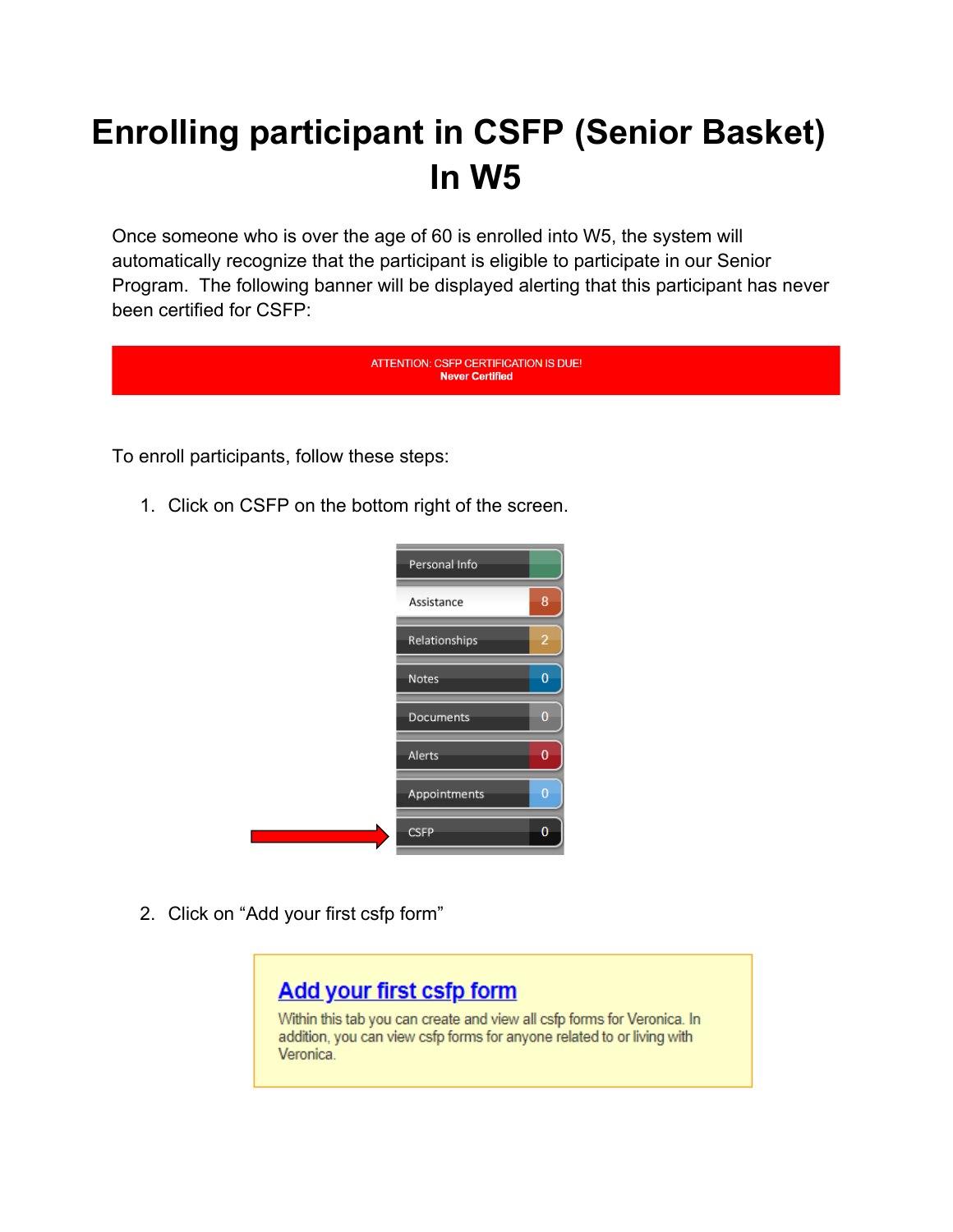## **Enrolling participant in CSFP (Senior Basket) In W5**

Once someone who is over the age of 60 is enrolled into W5, the system will automatically recognize that the participant is eligible to participate in our Senior Program. The following banner will be displayed alerting that this participant has never been certified for CSFP:





2. Click on "Add your first csfp form"

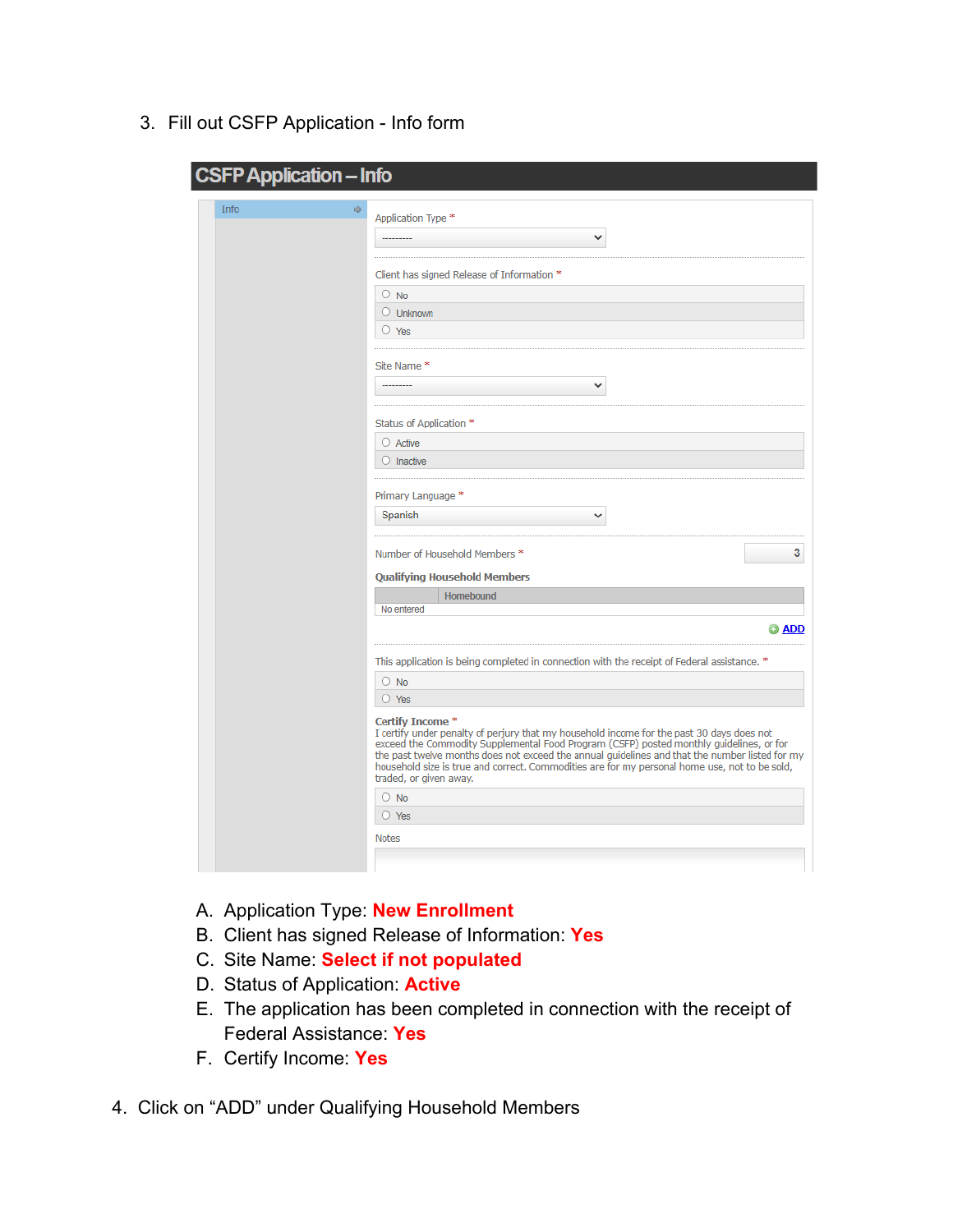3. Fill out CSFP Application - Info form

| <b>Info</b><br>吵<br>Application Type *<br>v<br>Client has signed Release of Information *<br>$\circ$ No<br>$\circ$ Unknown<br>$\circ$ Yes<br>Site Name*<br>٧<br>Status of Application *<br>$\bigcirc$ Active<br>$\circ$ Inactive<br>Primary Language *<br>Spanish<br>v<br>Number of Household Members *<br><b>Qualifying Household Members</b><br>Homebound<br>No entered<br>This application is being completed in connection with the receipt of Federal assistance. *<br>$\circ$ No<br>$\circ$ Yes<br>Certify Income *<br>I certify under penalty of perjury that my household income for the past 30 days does not<br>exceed the Commodity Supplemental Food Program (CSFP) posted monthly guidelines, or for<br>the past twelve months does not exceed the annual guidelines and that the number listed for my<br>household size is true and correct. Commodities are for my personal home use, not to be sold, |              |
|----------------------------------------------------------------------------------------------------------------------------------------------------------------------------------------------------------------------------------------------------------------------------------------------------------------------------------------------------------------------------------------------------------------------------------------------------------------------------------------------------------------------------------------------------------------------------------------------------------------------------------------------------------------------------------------------------------------------------------------------------------------------------------------------------------------------------------------------------------------------------------------------------------------------|--------------|
|                                                                                                                                                                                                                                                                                                                                                                                                                                                                                                                                                                                                                                                                                                                                                                                                                                                                                                                      |              |
|                                                                                                                                                                                                                                                                                                                                                                                                                                                                                                                                                                                                                                                                                                                                                                                                                                                                                                                      |              |
|                                                                                                                                                                                                                                                                                                                                                                                                                                                                                                                                                                                                                                                                                                                                                                                                                                                                                                                      |              |
|                                                                                                                                                                                                                                                                                                                                                                                                                                                                                                                                                                                                                                                                                                                                                                                                                                                                                                                      |              |
|                                                                                                                                                                                                                                                                                                                                                                                                                                                                                                                                                                                                                                                                                                                                                                                                                                                                                                                      |              |
|                                                                                                                                                                                                                                                                                                                                                                                                                                                                                                                                                                                                                                                                                                                                                                                                                                                                                                                      |              |
|                                                                                                                                                                                                                                                                                                                                                                                                                                                                                                                                                                                                                                                                                                                                                                                                                                                                                                                      |              |
|                                                                                                                                                                                                                                                                                                                                                                                                                                                                                                                                                                                                                                                                                                                                                                                                                                                                                                                      |              |
|                                                                                                                                                                                                                                                                                                                                                                                                                                                                                                                                                                                                                                                                                                                                                                                                                                                                                                                      |              |
|                                                                                                                                                                                                                                                                                                                                                                                                                                                                                                                                                                                                                                                                                                                                                                                                                                                                                                                      |              |
|                                                                                                                                                                                                                                                                                                                                                                                                                                                                                                                                                                                                                                                                                                                                                                                                                                                                                                                      |              |
|                                                                                                                                                                                                                                                                                                                                                                                                                                                                                                                                                                                                                                                                                                                                                                                                                                                                                                                      |              |
|                                                                                                                                                                                                                                                                                                                                                                                                                                                                                                                                                                                                                                                                                                                                                                                                                                                                                                                      |              |
|                                                                                                                                                                                                                                                                                                                                                                                                                                                                                                                                                                                                                                                                                                                                                                                                                                                                                                                      |              |
|                                                                                                                                                                                                                                                                                                                                                                                                                                                                                                                                                                                                                                                                                                                                                                                                                                                                                                                      |              |
|                                                                                                                                                                                                                                                                                                                                                                                                                                                                                                                                                                                                                                                                                                                                                                                                                                                                                                                      |              |
|                                                                                                                                                                                                                                                                                                                                                                                                                                                                                                                                                                                                                                                                                                                                                                                                                                                                                                                      |              |
|                                                                                                                                                                                                                                                                                                                                                                                                                                                                                                                                                                                                                                                                                                                                                                                                                                                                                                                      | 3            |
|                                                                                                                                                                                                                                                                                                                                                                                                                                                                                                                                                                                                                                                                                                                                                                                                                                                                                                                      |              |
|                                                                                                                                                                                                                                                                                                                                                                                                                                                                                                                                                                                                                                                                                                                                                                                                                                                                                                                      |              |
|                                                                                                                                                                                                                                                                                                                                                                                                                                                                                                                                                                                                                                                                                                                                                                                                                                                                                                                      | <b>O</b> ADD |
|                                                                                                                                                                                                                                                                                                                                                                                                                                                                                                                                                                                                                                                                                                                                                                                                                                                                                                                      |              |
|                                                                                                                                                                                                                                                                                                                                                                                                                                                                                                                                                                                                                                                                                                                                                                                                                                                                                                                      |              |
|                                                                                                                                                                                                                                                                                                                                                                                                                                                                                                                                                                                                                                                                                                                                                                                                                                                                                                                      |              |
| traded, or given away.                                                                                                                                                                                                                                                                                                                                                                                                                                                                                                                                                                                                                                                                                                                                                                                                                                                                                               |              |
| $\circ$ No                                                                                                                                                                                                                                                                                                                                                                                                                                                                                                                                                                                                                                                                                                                                                                                                                                                                                                           |              |
| $\circ$ Yes                                                                                                                                                                                                                                                                                                                                                                                                                                                                                                                                                                                                                                                                                                                                                                                                                                                                                                          |              |
| <b>Notes</b>                                                                                                                                                                                                                                                                                                                                                                                                                                                                                                                                                                                                                                                                                                                                                                                                                                                                                                         |              |

- A. Application Type: **New Enrollment**
- B. Client has signed Release of Information: **Yes**
- C. Site Name: **Select if not populated**
- D. Status of Application: **Active**
- E. The application has been completed in connection with the receipt of Federal Assistance: **Yes**
- F. Certify Income: **Yes**
- 4. Click on "ADD" under Qualifying Household Members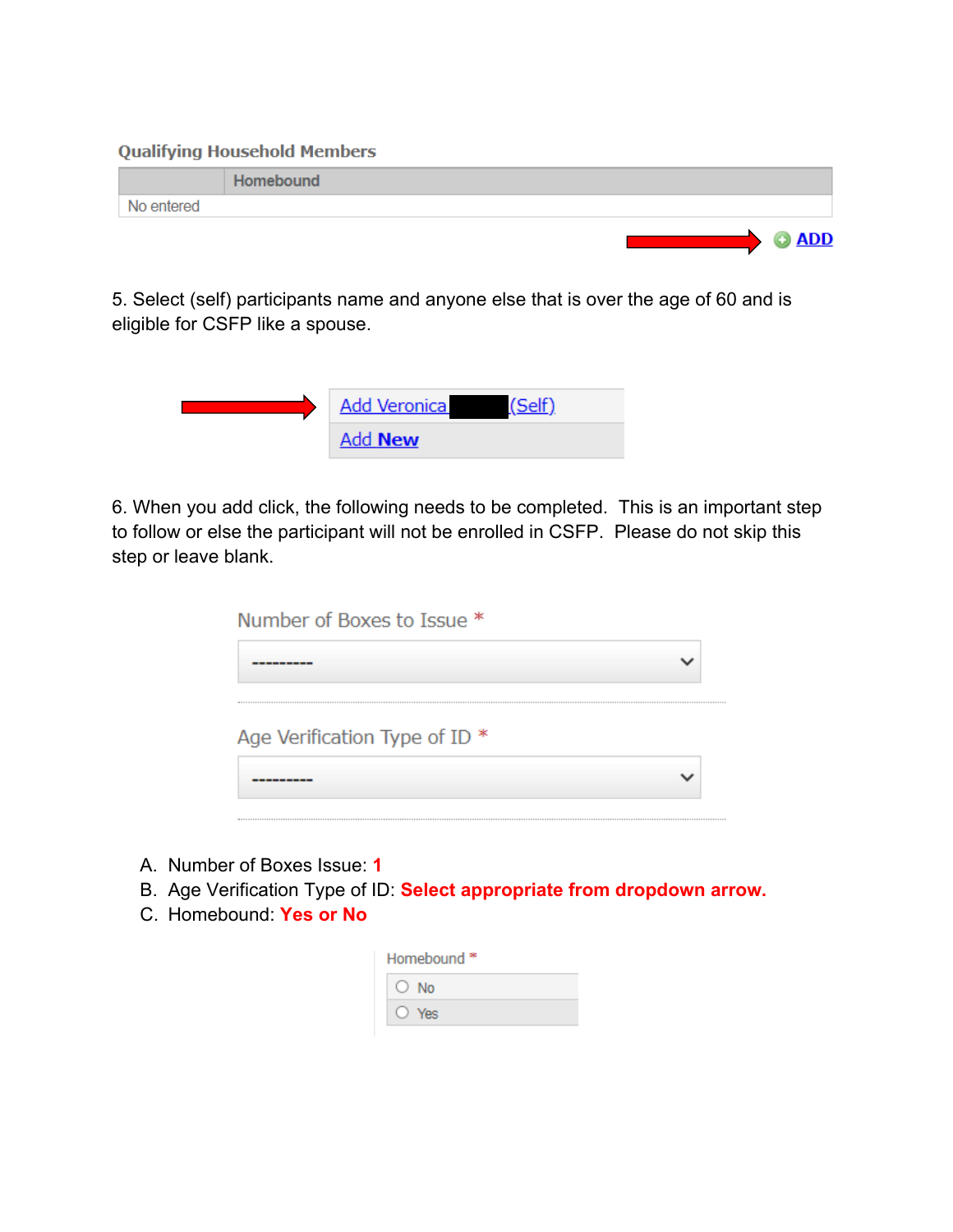**Qualifying Household Members** 

|            | <b>Homebound</b> |
|------------|------------------|
| No entered |                  |
|            | <b>O ADD</b>     |

5. Select (self) participants name and anyone else that is over the age of 60 and is eligible for CSFP like a spouse.



6. When you add click, the following needs to be completed. This is an important step to follow or else the participant will not be enrolled in CSFP. Please do not skip this step or leave blank.

| Number of Boxes to Issue *    |  |
|-------------------------------|--|
|                               |  |
| Age Verification Type of ID * |  |
|                               |  |

- A. Number of Boxes Issue: **1**
- B. Age Verification Type of ID: **Select appropriate from dropdown arrow.**
- C. Homebound: **Yes or No**

| Homebound <sup>*</sup> |
|------------------------|
| ∩ No                   |
| $\sqrt{\rho}$          |
|                        |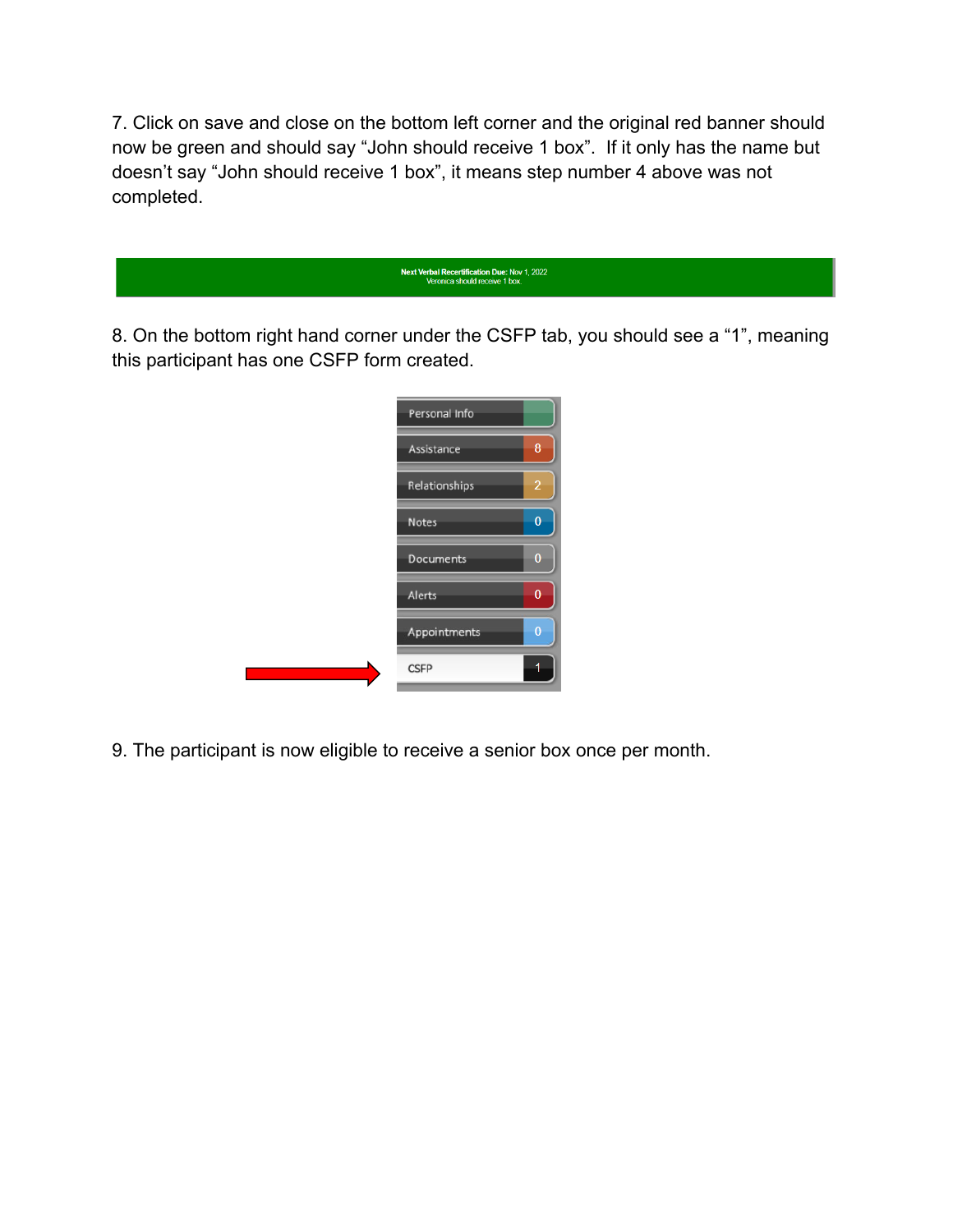7. Click on save and close on the bottom left corner and the original red banner should now be green and should say "John should receive 1 box". If it only has the name but doesn't say "John should receive 1 box", it means step number 4 above was not completed.

| <b>Next Verbal Recertification Due: Nov 1, 2022</b><br>Veronica should receive 1 box. |
|---------------------------------------------------------------------------------------|
|                                                                                       |

8. On the bottom right hand corner under the CSFP tab, you should see a "1", meaning this participant has one CSFP form created.

| Personal Info |                |
|---------------|----------------|
| Assistance    | 8              |
| Relationships | $\overline{a}$ |
| <b>Notes</b>  | $\bf{0}$       |
| Documents     | $\overline{0}$ |
| Alerts        | $\overline{0}$ |
| Appointments  | $\overline{0}$ |
| <b>CSFP</b>   |                |

9. The participant is now eligible to receive a senior box once per month.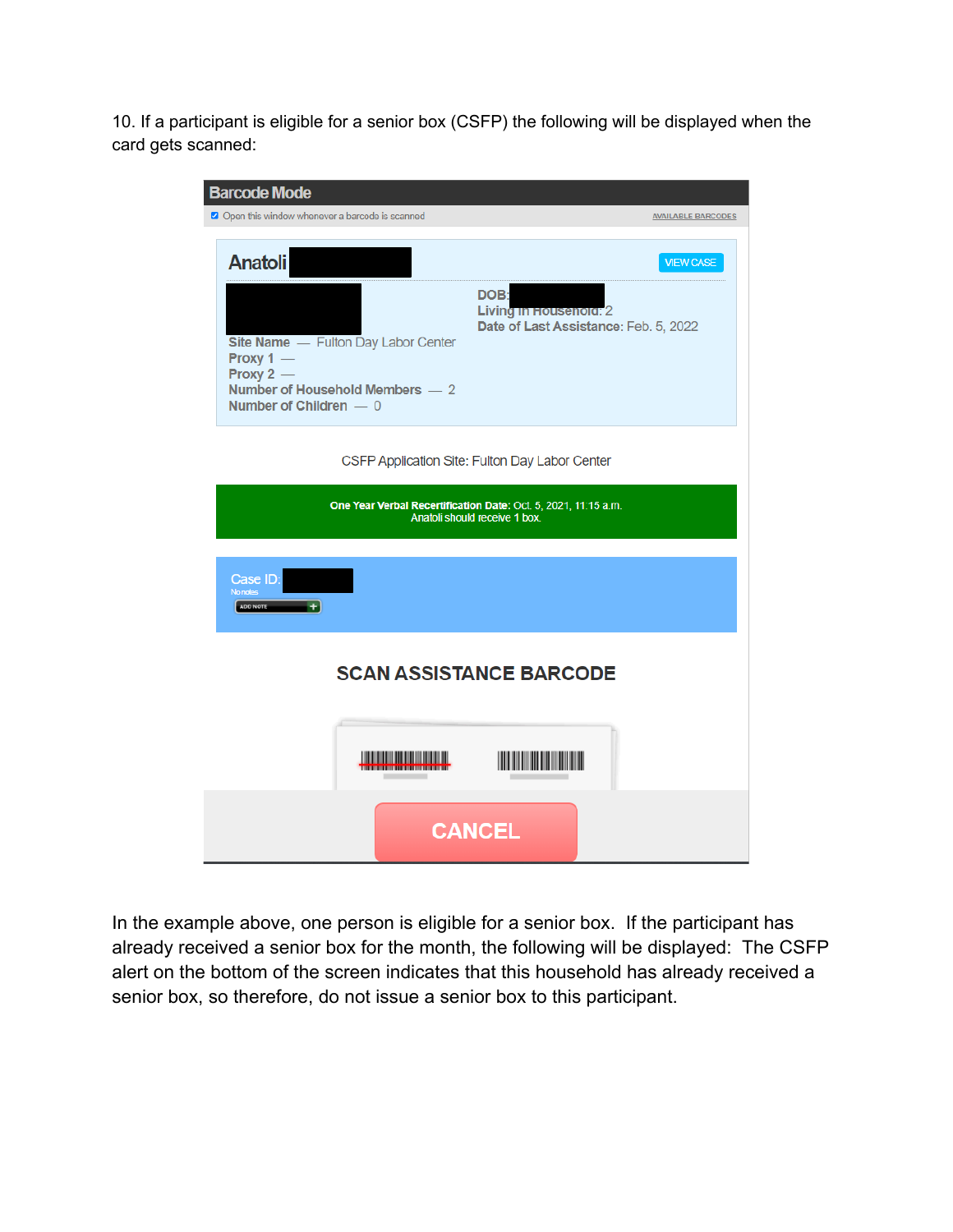10. If a participant is eligible for a senior box (CSFP) the following will be displayed when the card gets scanned:

| <b>Barcode Mode</b>                                                                                                                                                                                                                             |  |
|-------------------------------------------------------------------------------------------------------------------------------------------------------------------------------------------------------------------------------------------------|--|
| Open this window whenever a barcode is scanned<br><b>AVAILABLE BARCODES</b>                                                                                                                                                                     |  |
| <b>Anatoli</b><br><b>VIEW CASE</b><br>DOB:<br>Living in Housenold: 2<br>Date of Last Assistance: Feb. 5, 2022<br>Site Name - Fulton Day Labor Center<br>Proxy $1 -$<br>Proxy $2 -$<br>Number of Household Members - 2<br>Number of Children - 0 |  |
| CSFP Application Site: Fulton Day Labor Center                                                                                                                                                                                                  |  |
| One Year Verbal Recertification Date: Oct. 5, 2021, 11:15 a.m.<br>Anatoli should receive 1 box.                                                                                                                                                 |  |
| Case ID:<br>No notes<br>ADD NOTE                                                                                                                                                                                                                |  |
| <b>SCAN ASSISTANCE BARCODE</b>                                                                                                                                                                                                                  |  |
|                                                                                                                                                                                                                                                 |  |
| <b>CANCEL</b>                                                                                                                                                                                                                                   |  |

In the example above, one person is eligible for a senior box. If the participant has already received a senior box for the month, the following will be displayed: The CSFP alert on the bottom of the screen indicates that this household has already received a senior box, so therefore, do not issue a senior box to this participant.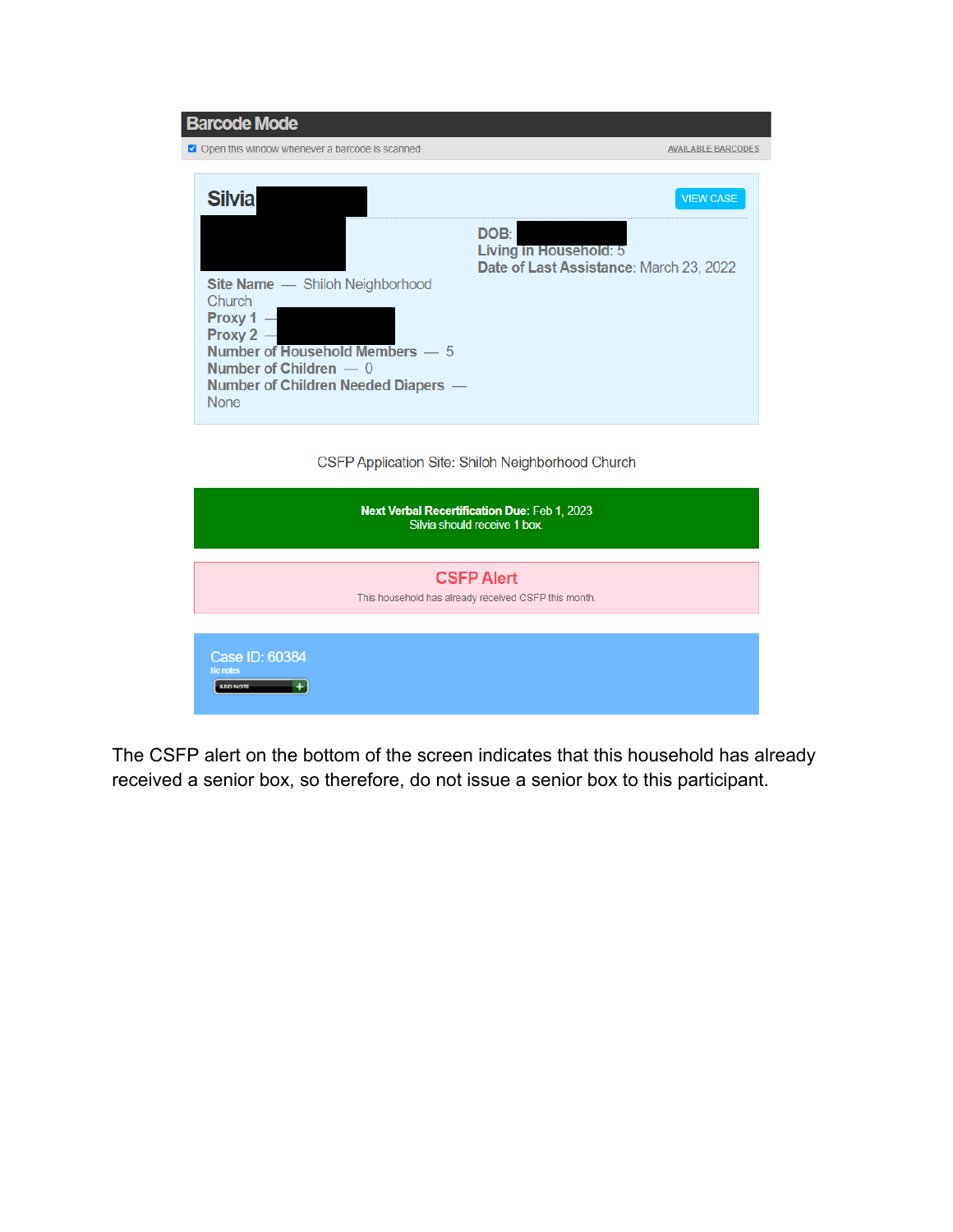| <b>Barcode Mode</b>                                                                                                                                                                        |                                                                   |
|--------------------------------------------------------------------------------------------------------------------------------------------------------------------------------------------|-------------------------------------------------------------------|
| Open this window whenever a barcode is scanned                                                                                                                                             | <b>AVAILABLE BARCODES</b>                                         |
| <b>Silvia</b>                                                                                                                                                                              | <b>VIEW CASE</b><br>DOB:                                          |
| <b>Site Name</b> - Shiloh Neighborhood<br>Church<br>Proxy 1<br>Proxy 2<br>Number of Household Members - 5<br>Number of Children $-0$<br>Number of Children Needed Diapers -<br><b>None</b> | Living in Household: 5<br>Date of Last Assistance: March 23, 2022 |

CSFP Application Site: Shiloh Neighborhood Church

|                                               | Next Verbal Recertification Due: Feb 1, 2023<br>Silvia should receive 1 box. |
|-----------------------------------------------|------------------------------------------------------------------------------|
|                                               | <b>CSFP Alert</b><br>This household has already received CSFP this month.    |
| Case ID: 60384<br>No notes<br><b>ADD NOTE</b> |                                                                              |

The CSFP alert on the bottom of the screen indicates that this household has already received a senior box, so therefore, do not issue a senior box to this participant.